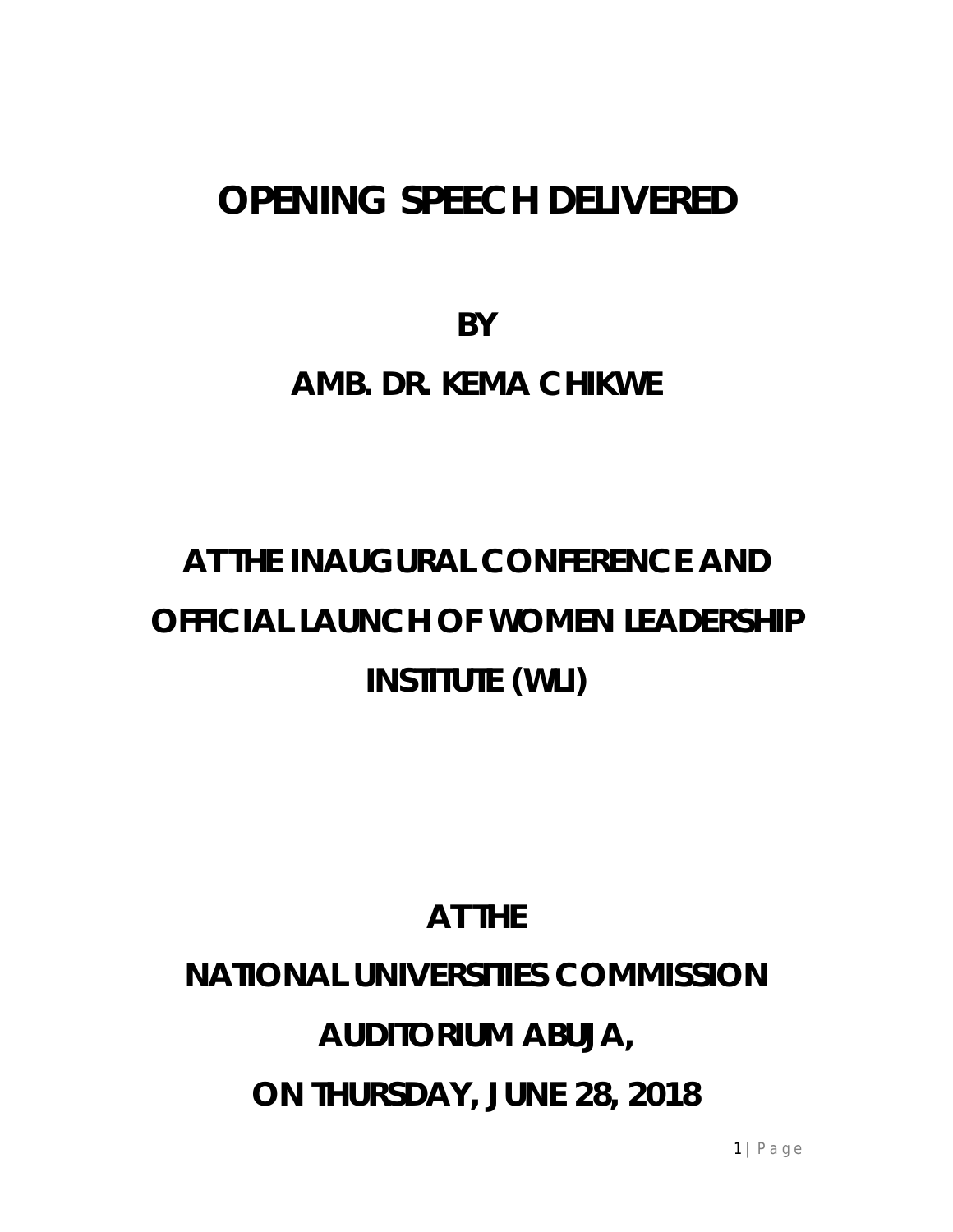## **OPENING SPEECH DELIVERED**

**BY**

#### **AMB. DR. KEMA CHIKWE**

# **AT THE INAUGURAL CONFERENCE AND OFFICIAL LAUNCH OF WOMEN LEADERSHIP INSTITUTE (WLI)**

#### **AT THE**

#### **NATIONAL UNIVERSITIES COMMISSION**

### **AUDITORIUM ABUJA,**

**ON THURSDAY, JUNE 28, 2018**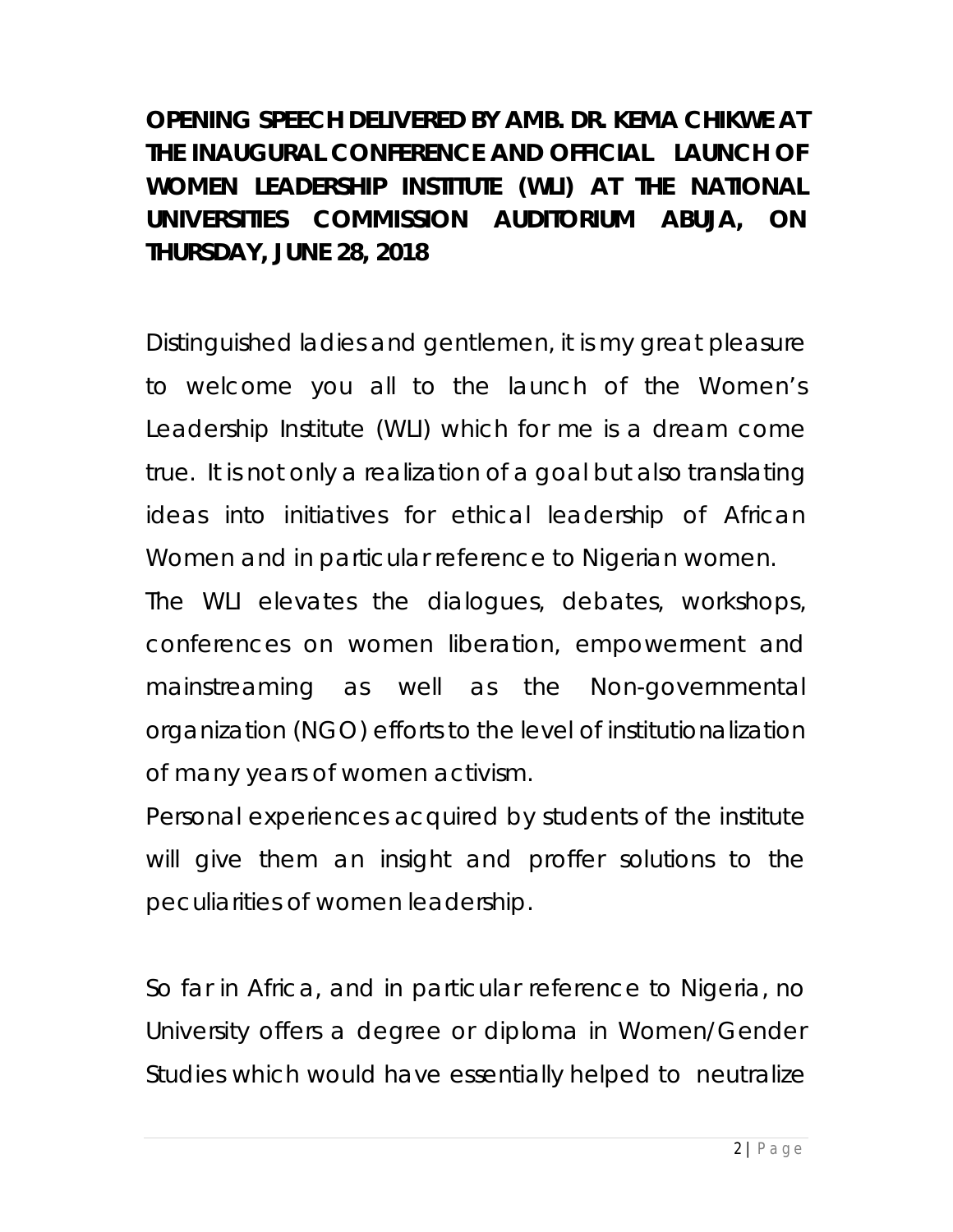**OPENING SPEECH DELIVERED BY AMB. DR. KEMA CHIKWE AT THE INAUGURAL CONFERENCE AND OFFICIAL LAUNCH OF WOMEN LEADERSHIP INSTITUTE (WLI) AT THE NATIONAL UNIVERSITIES COMMISSION AUDITORIUM ABUJA, ON THURSDAY, JUNE 28, 2018**

Distinguished ladies and gentlemen, it is my great pleasure to welcome you all to the launch of the Women's Leadership Institute (WLI) which for me is a dream come true. It is not only a realization of a goal but also translating ideas into initiatives for ethical leadership of African Women and in particular reference to Nigerian women.

The WLI elevates the dialogues, debates, workshops, conferences on women liberation, empowerment and mainstreaming as well as the Non-governmental organization (NGO) efforts to the level of institutionalization of many years of women activism.

Personal experiences acquired by students of the institute will give them an insight and proffer solutions to the peculiarities of women leadership.

So far in Africa, and in particular reference to Nigeria, no University offers a degree or diploma in Women/Gender Studies which would have essentially helped to neutralize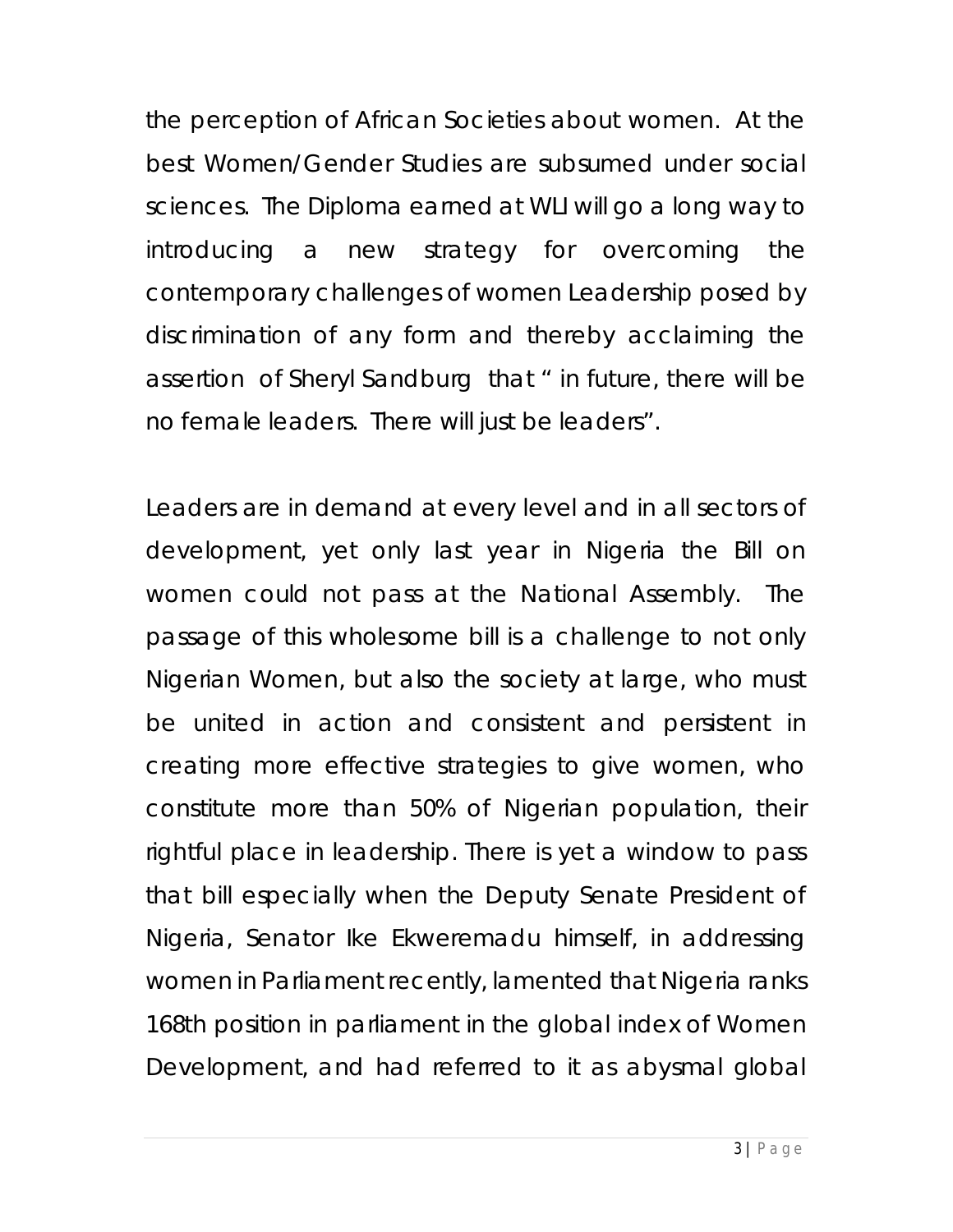the perception of African Societies about women. At the best Women/Gender Studies are subsumed under social sciences. The Diploma earned at WLI will go a long way to introducing a new strategy for overcoming the contemporary challenges of women Leadership posed by discrimination of any form and thereby acclaiming the assertion of Sheryl Sandburg that " in future, there will be no female leaders. There will just be leaders".

Leaders are in demand at every level and in all sectors of development, yet only last year in Nigeria the Bill on women could not pass at the National Assembly. The passage of this wholesome bill is a challenge to not only Nigerian Women, but also the society at large, who must be united in action and consistent and persistent in creating more effective strategies to give women, who constitute more than 50% of Nigerian population, their rightful place in leadership. There is yet a window to pass that bill especially when the Deputy Senate President of Nigeria, Senator Ike Ekweremadu himself, in addressing women in Parliament recently, lamented that Nigeria ranks 168th position in parliament in the global index of Women Development, and had referred to it as abysmal global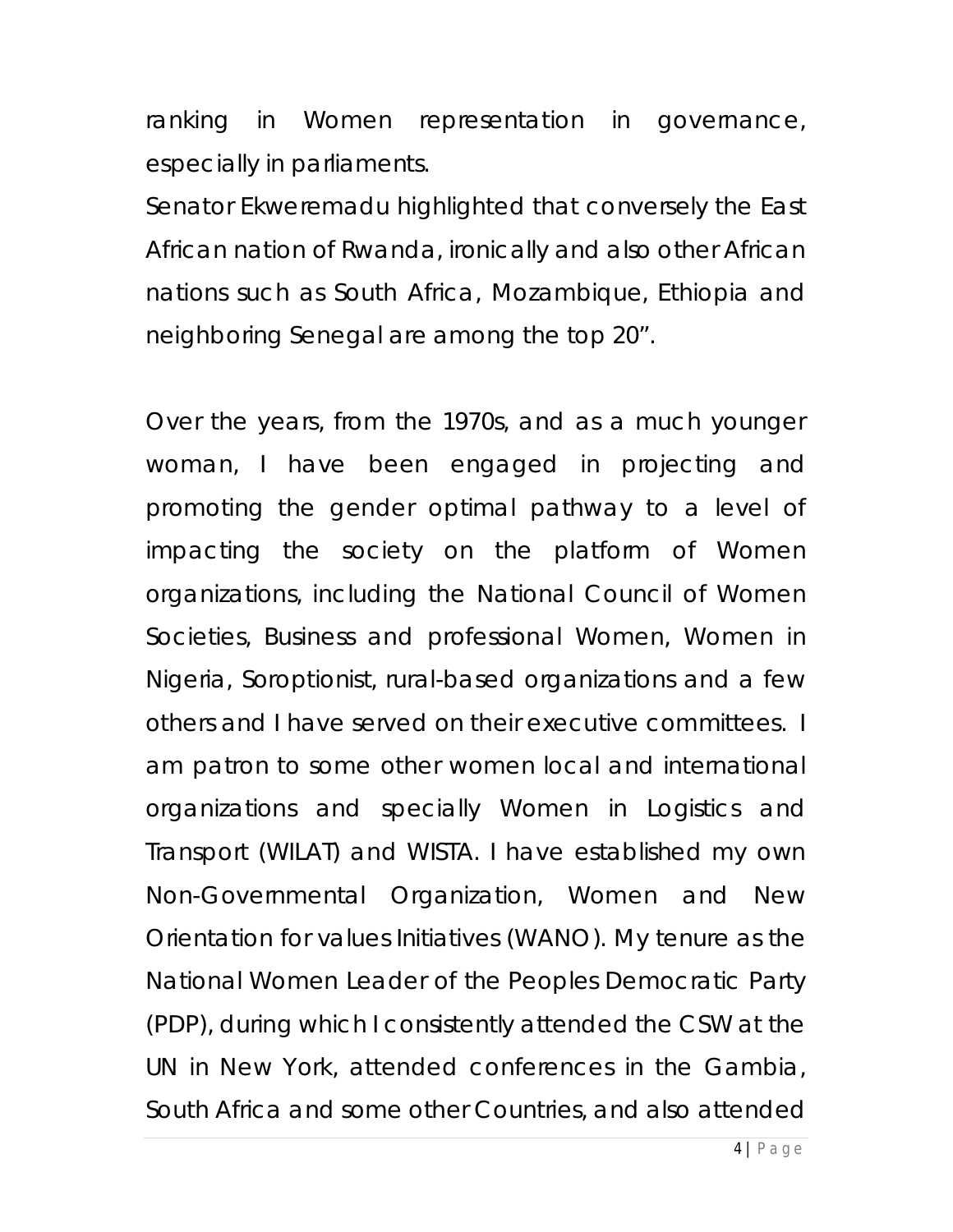ranking in Women representation in governance, especially in parliaments.

Senator Ekweremadu highlighted that conversely the East African nation of Rwanda, ironically and also other African nations such as South Africa, Mozambique, Ethiopia and neighboring Senegal are among the top 20".

Over the years, from the 1970s, and as a much younger woman, I have been engaged in projecting and promoting the gender optimal pathway to a level of impacting the society on the platform of Women organizations, including the National Council of Women Societies, Business and professional Women, Women in Nigeria, Soroptionist, rural-based organizations and a few others and I have served on their executive committees. I am patron to some other women local and international organizations and specially Women in Logistics and Transport (WILAT) and WISTA. I have established my own Non-Governmental Organization, Women and New Orientation for values Initiatives (WANO). My tenure as the National Women Leader of the Peoples Democratic Party (PDP), during which I consistently attended the CSW at the UN in New York, attended conferences in the Gambia, South Africa and some other Countries, and also attended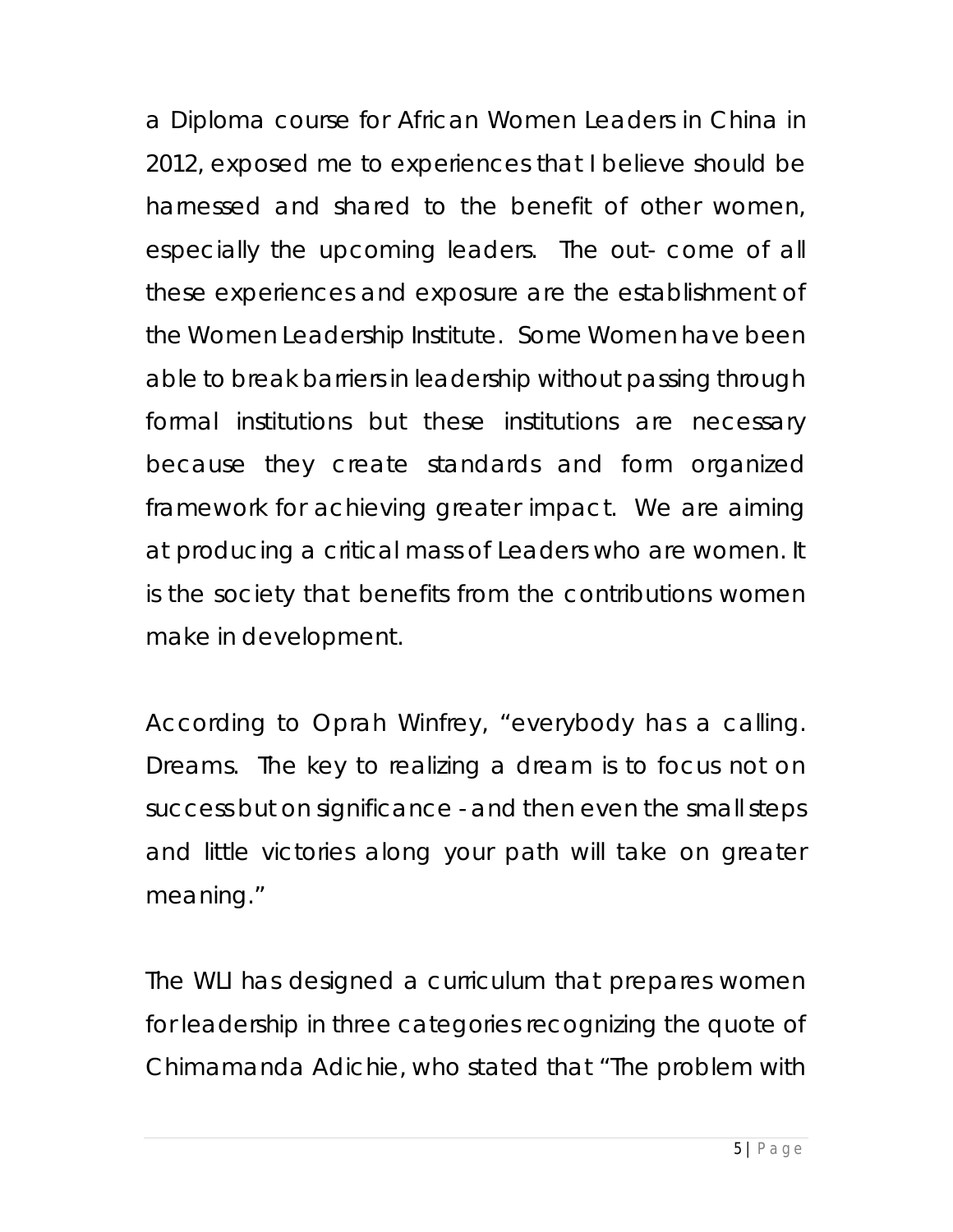a Diploma course for African Women Leaders in China in 2012, exposed me to experiences that I believe should be harnessed and shared to the benefit of other women, especially the upcoming leaders. The out- come of all these experiences and exposure are the establishment of the Women Leadership Institute. Some Women have been able to break barriers in leadership without passing through formal institutions but these institutions are necessary because they create standards and form organized framework for achieving greater impact. We are aiming at producing a critical mass of Leaders who are women. It is the society that benefits from the contributions women make in development.

According to Oprah Winfrey, "everybody has a calling. Dreams. The key to realizing a dream is to focus not on success but on significance - and then even the small steps and little victories along your path will take on greater meaning."

The WLI has designed a curriculum that prepares women for leadership in three categories recognizing the quote of Chimamanda Adichie, who stated that "The problem with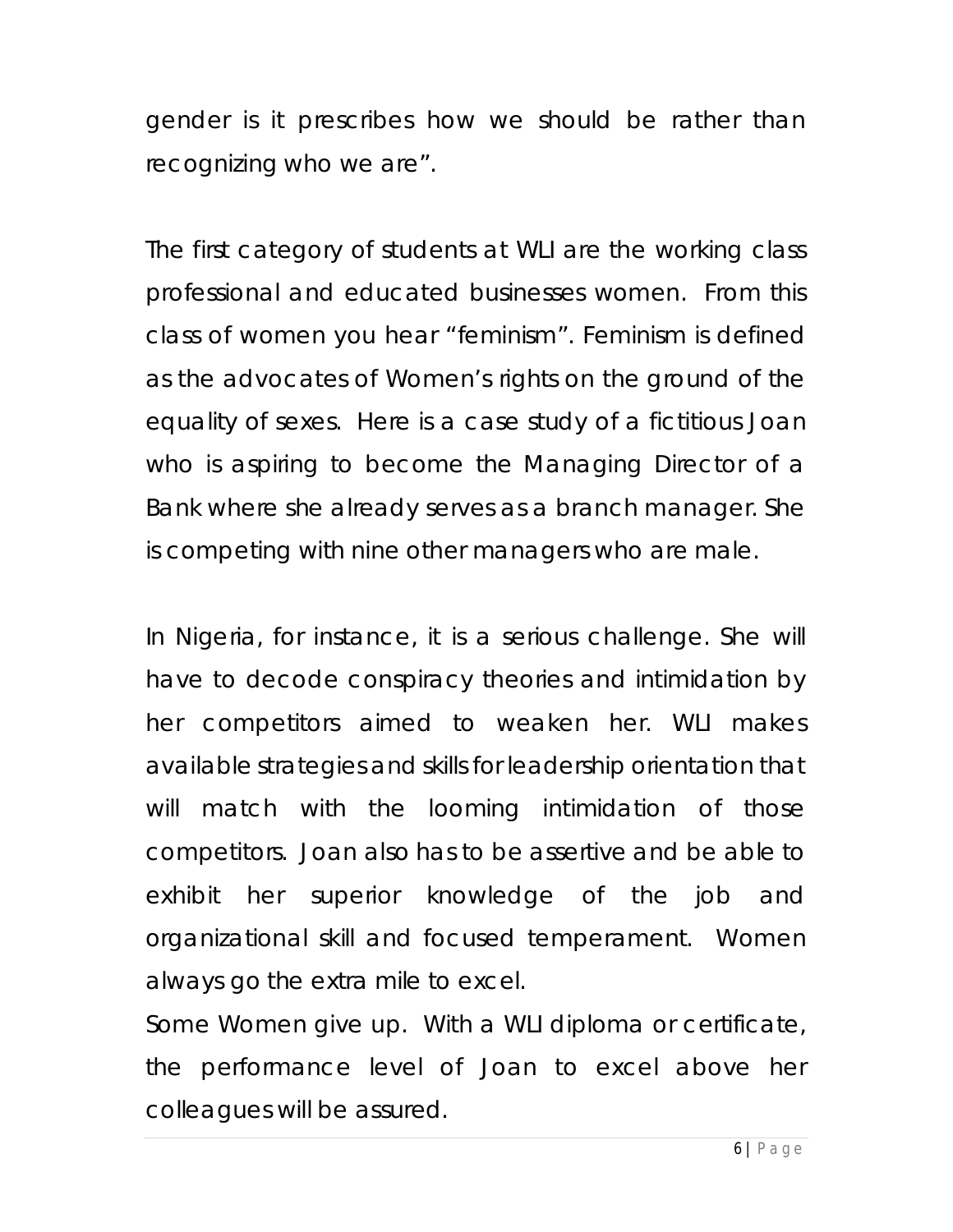gender is it prescribes how we should be rather than recognizing who we are".

The first category of students at WLI are the working class professional and educated businesses women. From this class of women you hear "feminism". Feminism is defined as the advocates of Women's rights on the ground of the equality of sexes. Here is a case study of a fictitious Joan who is aspiring to become the Managing Director of a Bank where she already serves as a branch manager. She is competing with nine other managers who are male.

In Nigeria, for instance, it is a serious challenge. She will have to decode conspiracy theories and intimidation by her competitors aimed to weaken her. WLI makes available strategies and skills for leadership orientation that will match with the looming intimidation of those competitors. Joan also has to be assertive and be able to exhibit her superior knowledge of the job and organizational skill and focused temperament. Women always go the extra mile to excel.

Some Women give up. With a WLI diploma or certificate, the performance level of Joan to excel above her colleagues will be assured.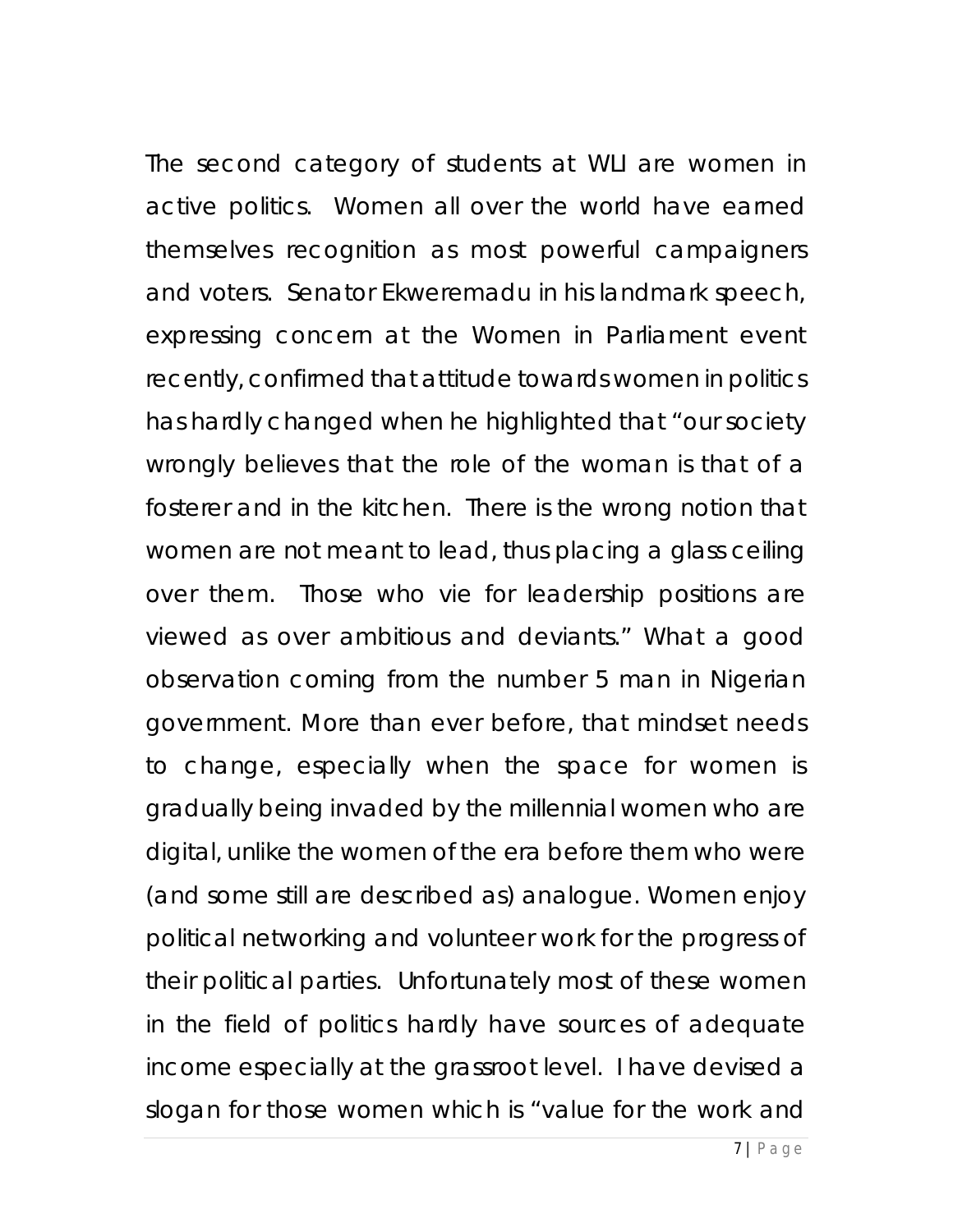The second category of students at WLI are women in active politics. Women all over the world have earned themselves recognition as most powerful campaigners and voters. Senator Ekweremadu in his landmark speech, expressing concern at the Women in Parliament event recently, confirmed that attitude towards women in politics has hardly changed when he highlighted that "our society wrongly believes that the role of the woman is that of a fosterer and in the kitchen. There is the wrong notion that women are not meant to lead, thus placing a glass ceiling over them. Those who vie for leadership positions are viewed as over ambitious and deviants." What a good observation coming from the number 5 man in Nigerian government. More than ever before, that mindset needs to change, especially when the space for women is gradually being invaded by the millennial women who are digital, unlike the women of the era before them who were (and some still are described as) analogue. Women enjoy political networking and volunteer work for the progress of their political parties. Unfortunately most of these women in the field of politics hardly have sources of adequate income especially at the grassroot level. I have devised a slogan for those women which is "value for the work and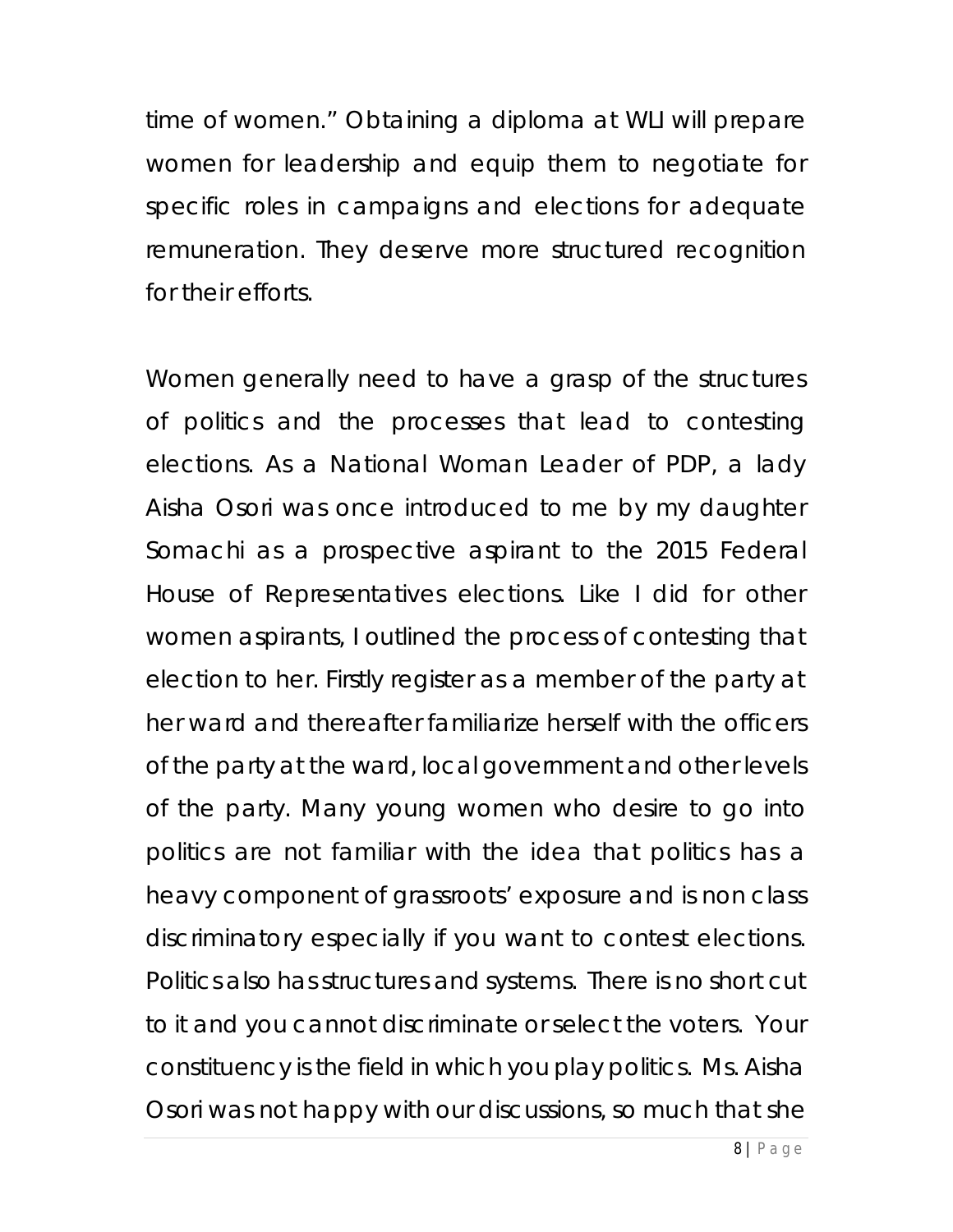time of women." Obtaining a diploma at WLI will prepare women for leadership and equip them to negotiate for specific roles in campaigns and elections for adequate remuneration. They deserve more structured recognition for their efforts.

Women generally need to have a grasp of the structures of politics and the processes that lead to contesting elections. As a National Woman Leader of PDP, a lady Aisha Osori was once introduced to me by my daughter Somachi as a prospective aspirant to the 2015 Federal House of Representatives elections. Like I did for other women aspirants, I outlined the process of contesting that election to her. Firstly register as a member of the party at her ward and thereafter familiarize herself with the officers of the party at the ward, local government and other levels of the party. Many young women who desire to go into politics are not familiar with the idea that politics has a heavy component of grassroots' exposure and is non class discriminatory especially if you want to contest elections. Politics also has structures and systems. There is no short cut to it and you cannot discriminate or select the voters. Your constituency is the field in which you play politics. Ms. Aisha Osori was not happy with our discussions, so much that she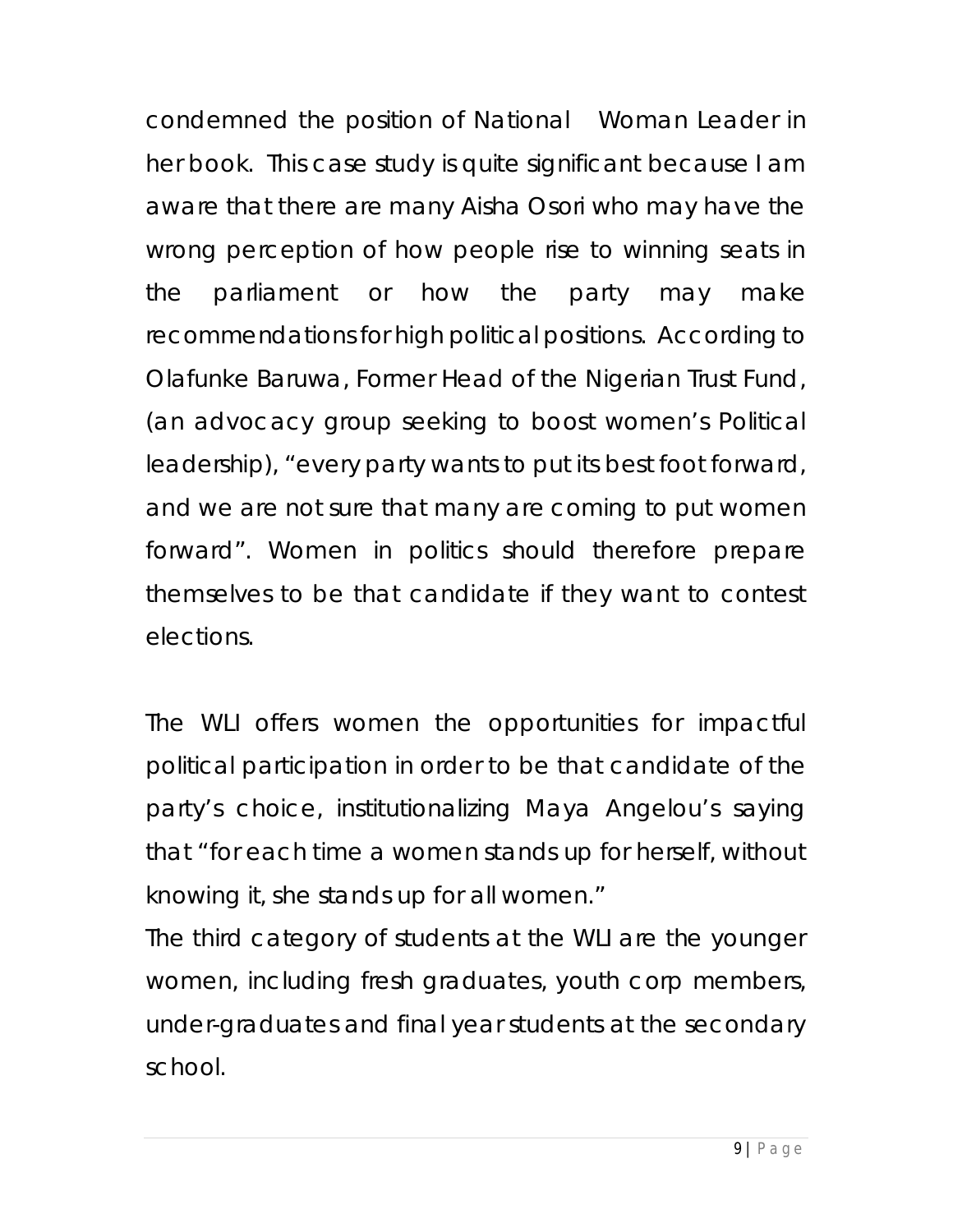condemned the position of National Woman Leader in her book. This case study is quite significant because I am aware that there are many Aisha Osori who may have the wrong perception of how people rise to winning seats in the parliament or how the party may make recommendations for high political positions. According to Olafunke Baruwa, Former Head of the Nigerian Trust Fund, (an advocacy group seeking to boost women's Political leadership), "every party wants to put its best foot forward, and we are not sure that many are coming to put women forward". Women in politics should therefore prepare themselves to be that candidate if they want to contest elections.

The WLI offers women the opportunities for impactful political participation in order to be that candidate of the party's choice, institutionalizing Maya Angelou's saying that "for each time a women stands up for herself, without knowing it, she stands up for all women."

The third category of students at the WLI are the younger women, including fresh graduates, youth corp members, under-graduates and final year students at the secondary school.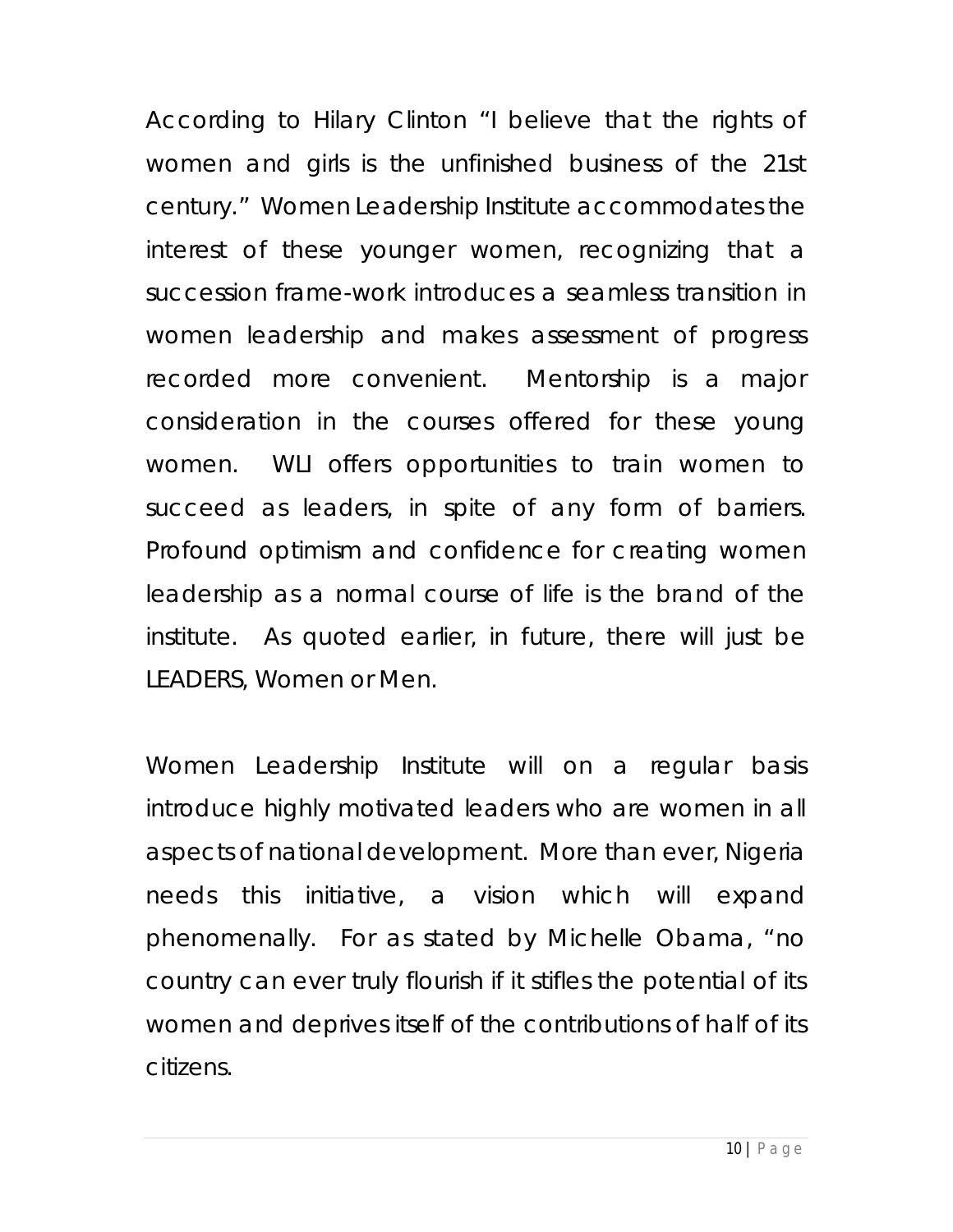According to Hilary Clinton "I believe that the rights of women and girls is the unfinished business of the 21st century." Women Leadership Institute accommodates the interest of these younger women, recognizing that a succession frame-work introduces a seamless transition in women leadership and makes assessment of progress recorded more convenient. Mentorship is a major consideration in the courses offered for these young women. WLI offers opportunities to train women to succeed as leaders, in spite of any form of barriers. Profound optimism and confidence for creating women leadership as a normal course of life is the brand of the institute. As quoted earlier, in future, there will just be LEADERS, Women or Men.

Women Leadership Institute will on a regular basis introduce highly motivated leaders who are women in all aspects of national development. More than ever, Nigeria needs this initiative, a vision which will expand phenomenally. For as stated by Michelle Obama, "no country can ever truly flourish if it stifles the potential of its women and deprives itself of the contributions of half of its citizens.